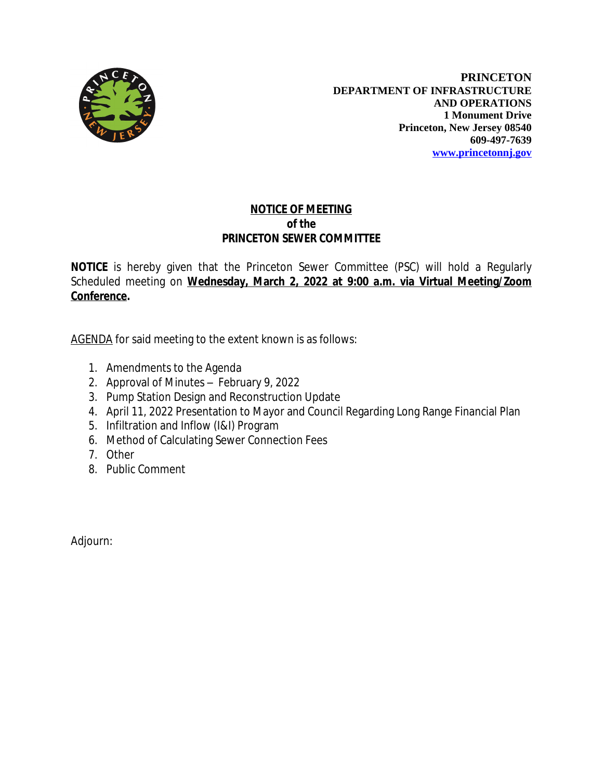

**PRINCETON DEPARTMENT OF INFRASTRUCTURE AND OPERATIONS 1 Monument Drive Princeton, New Jersey 08540 609-497-7639 [www.princetonnj.gov](http://www.princetonnj.gov)**

## **NOTICE OF MEETING** *of the* **PRINCETON SEWER COMMITTEE**

**NOTICE** is hereby given that the Princeton Sewer Committee (PSC) will hold a Regularly Scheduled meeting on **Wednesday, March 2, 2022 at 9:00 a.m. via Virtual Meeting/Zoom Conference.**

AGENDA for said meeting to the extent known is as follows:

- 1. Amendments to the Agenda
- 2. Approval of Minutes February 9, 2022
- 3. Pump Station Design and Reconstruction Update
- 4. April 11, 2022 Presentation to Mayor and Council Regarding Long Range Financial Plan
- 5. Infiltration and Inflow (I&I) Program
- 6. Method of Calculating Sewer Connection Fees
- 7. Other
- 8. Public Comment

Adjourn: